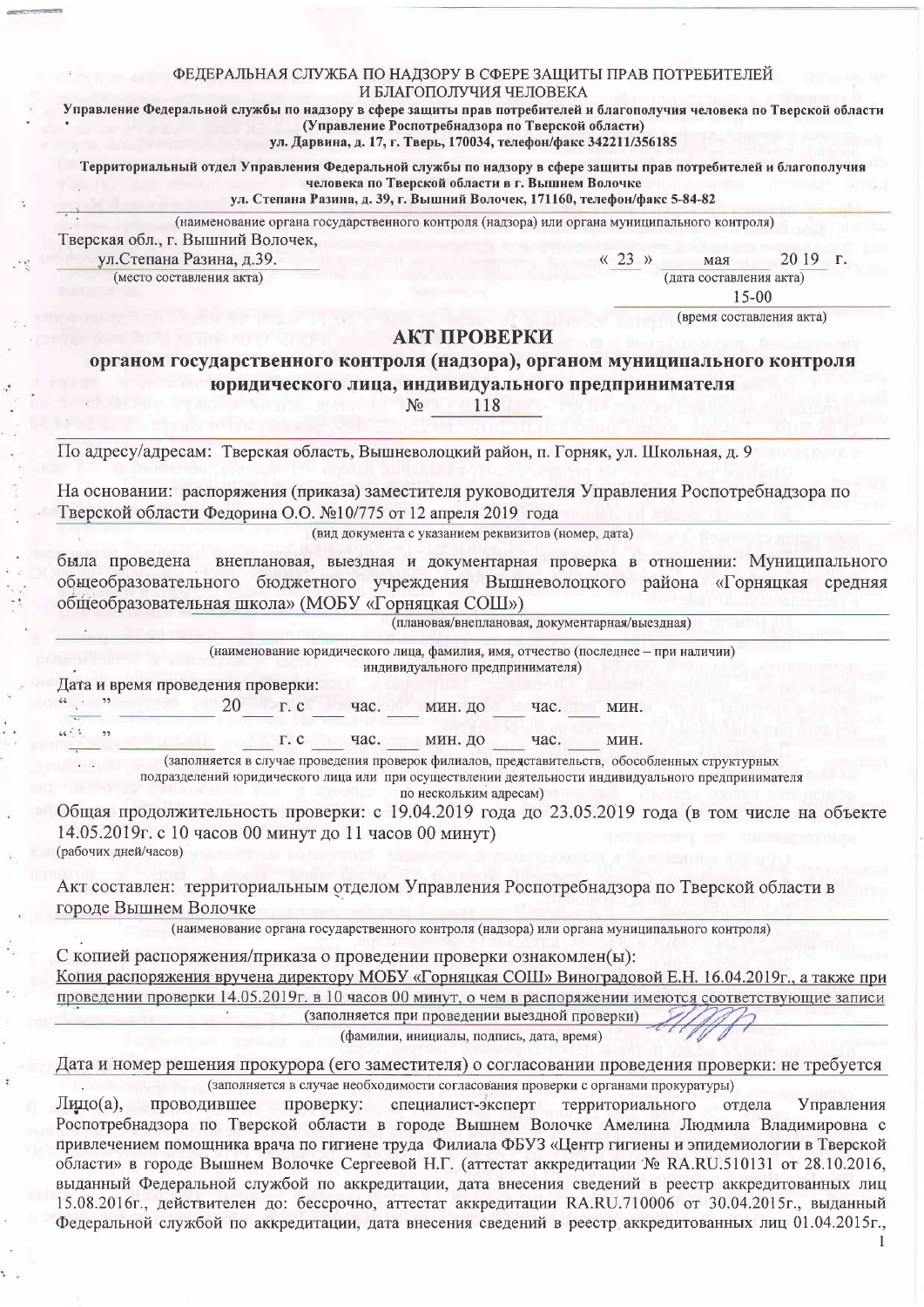## ФЕДЕРАЛЬНАЯ СЛУЖБА ПО НАДЗОРУ В СФЕРЕ ЗАЩИТЫ ПРАВ ПОТРЕБИТЕЛЕЙ И БЛАГОПОЛУЧИЯ ЧЕЛОВЕКА

Управление Федеральной службы по надзору в сфере защиты прав потребителей и благополучия человека по Тверской области (Управление Роспотребнадзора по Тверской области) ул. Дарвина, д. 17, г. Тверь, 170034, телефон/факс 342211/356185

Территориальный отдел Управления Федеральной службы по надзору в сфере защиты прав потребителей и благополучия человека по Тверской области в г. Вышнем Волочке

ул. Степана Разина, д. 39, г. Вышний Волочек, 171160, телефон/факс 5-84-82

(наименование органа государственного контроля (надзора) или органа муниципального контроля)

Тверская обл., г. Вышний Волочек, ул. Степана Разина, д.39.

(место составления акта)

20 19 r.  $\langle \langle 23 \rangle \rangle$ мая (дата составления акта)

 $15 - 00$ (время составления акта)

## АКТ ПРОВЕРКИ

органом государственного контроля (надзора), органом муниципального контроля юридического лица, индивидуального предпринимателя

> 118 No

По адресу/адресам: Тверская область, Вышневолоцкий район, п. Горняк, ул. Школьная, д. 9

На основании: распоряжения (приказа) заместителя руководителя Управления Роспотребнадзора по Тверской области Федорина О.О. №10/775 от 12 апреля 2019 года

(вид документа с указанием реквизитов (номер, дата)

была проведена внеплановая, выездная и документарная проверка в отношении: Муниципального общеобразовательного бюджетного учреждения Вышневолоцкого района «Горняцкая средняя общеобразовательная школа» (МОБУ «Горняцкая СОШ»)

(плановая/внеплановая, документарная/выездная)

(наименование юридического лица, фамилия, имя, отчество (последнее - при наличии)

индивидуального предпринимателя)

Дата и время проведения проверки:  $^{4}$  39

 $\epsilon \epsilon \stackrel{>}{\sim} \epsilon$ 

 $\overline{\mathbf{z}}$ 

20 r.c час. МИН. ДО час. МИН.

> час. мин. до час. мин.  $\Gamma$ . C

(заполняется в случае проведения проверок филиалов, представительств, обособленных структурных подразделений юридического лица или при осуществлении деятельности индивидуального предпринимателя

по нескольким адресам)

Общая продолжительность проверки: с 19.04.2019 года до 23.05.2019 года (в том числе на объекте 14.05.2019г. с 10 часов 00 минут до 11 часов 00 минут) (рабочих дней/часов)

Акт составлен: территориальным отделом Управления Роспотребнадзора по Тверской области в городе Вышнем Волочке

(наименование органа государственного контроля (надзора) или органа муниципального контроля)

С копией распоряжения/приказа о проведении проверки ознакомлен(ы): Копия распоряжения вручена директору МОБУ «Горняцкая COIII» Виноградовой Е.Н. 16.04.2019г., а также при проведении проверки 14.05.2019г. в 10 часов 00 минут, о чем в распоряжении имеются соответствующие записи (заполняется при проведении выездной проверки)

(фамилии, инициалы, подпись, дата, время)

Дата и номер решения прокурора (его заместителя) о согласовании проведения проверки: не требуется (заполняется в случае необходимости согласования проверки с органами прокуратуры)

 $\prod$ ицо $(a)$ , проводившее проверку: специалист-эксперт территориального отдела Управления Роспотребнадзора по Тверской области в городе Вышнем Волочке Амелина Людмила Владимировна с привлечением помощника врача по гигиене труда Филиала ФБУЗ «Центр гигиены и эпидемиологии в Тверской области» в городе Вышнем Волочке Сергеевой Н.Г. (аттестат аккредитации № RA.RU.510131 от 28.10.2016, выданный Федеральной службой по аккредитации, дата внесения сведений в реестр аккредитованных лиц  $15.08.2016$ г., действителен до: бессрочно, аттестат аккредитации RA.RU.710006 от 30.04.2015г., выданный Федеральной службой по аккредитации, дата внесения сведений в реестр аккредитованных лиц 01.04.2015г.,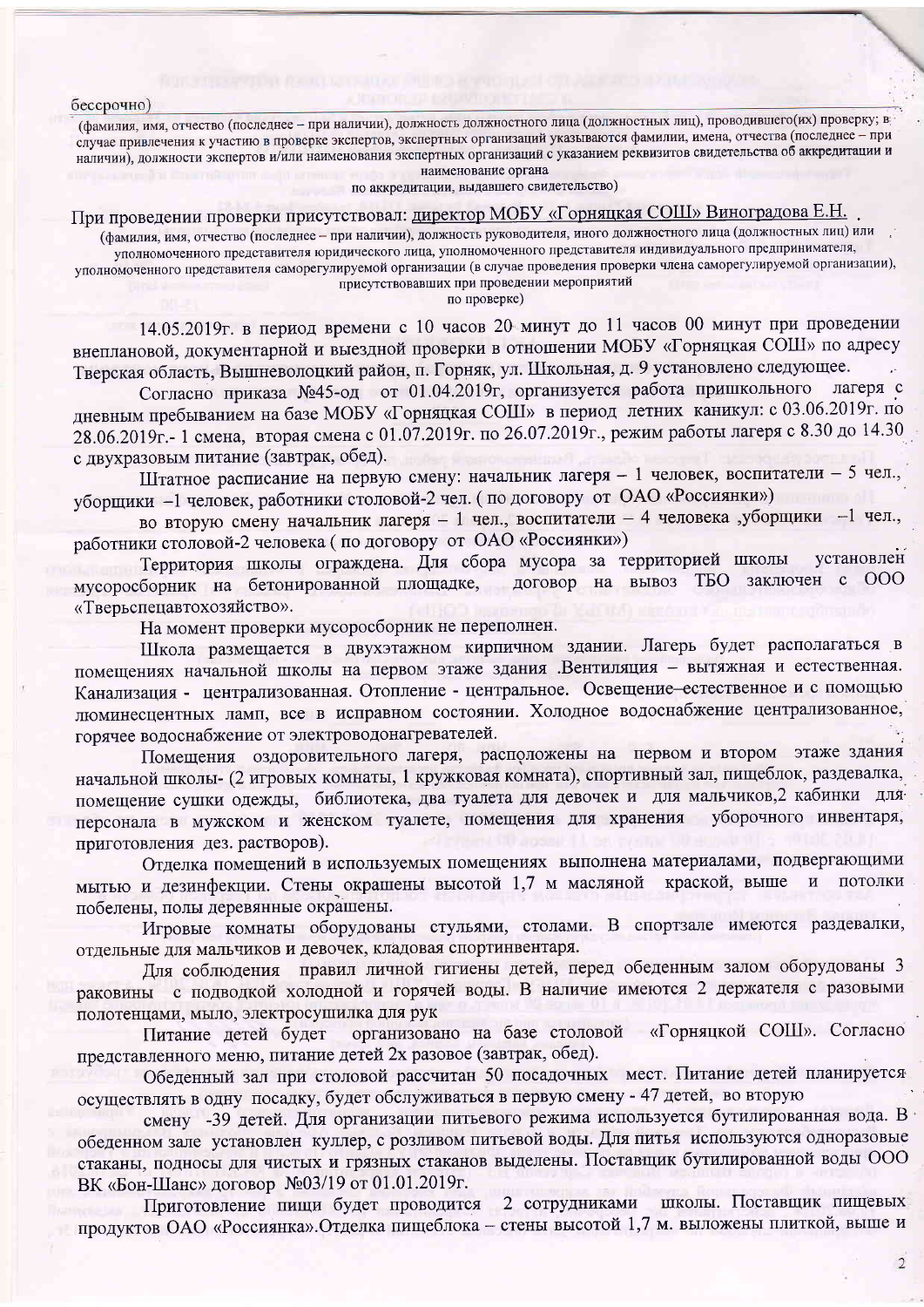бессрочно)

(фамилия, имя, отчество (последнее - при наличии), должность должностного лица (должностных лиц), проводившего(их) проверку; в случае привлечения к участию в проверке экспертов, экспертных организаций указываются фамилии, имена, отчества (последнее - при наличии), должности экспертов и/или наименования экспертных организаций с указанием реквизитов свидетельства об аккредитации и наименование органа

по аккредитации, выдавшего свидетельство)

При проведении проверки присутствовал: директор МОБУ «Горняцкая СОШ» Виноградова Е.Н.

(фамилия, имя, отчество (последнее - при наличии), должность руководителя, иного должностного лица (должностных лиц) или уполномоченного представителя юридического лица, уполномоченного представителя индивидуального предпринимателя, уполномоченного представителя саморегулируемой организации (в случае проведения проверки члена саморегулируемой организации), присутствовавших при проведении мероприятий

по проверке)

14.05.2019г. в период времени с 10 часов 20 минут до 11 часов 00 минут при проведении внеплановой, документарной и выездной проверки в отношении МОБУ «Горняцкая СОШ» по адресу Тверская область, Вышневолоцкий район, п. Горняк, ул. Школьная, д. 9 установлено следующее.

Согласно приказа №45-од от 01.04.2019г, организуется работа пришкольного лагеря с дневным пребыванием на базе МОБУ «Горняцкая СОШ» в период летних каникул: с 03.06.2019г. по 28.06.2019г. - 1 смена, вторая смена с 01.07.2019г. по 26.07.2019г., режим работы лагеря с 8.30 до 14.30 с двухразовым питание (завтрак, обед).

Штатное расписание на первую смену: начальник лагеря - 1 человек, воспитатели - 5 чел., уборщики -1 человек, работники столовой-2 чел. (по договору от ОАО «Россиянки»)

во вторую смену начальник лагеря - 1 чел., воспитатели - 4 человека ,уборщики -1 чел., работники столовой-2 человека (по договору от ОАО «Россиянки»)

Территория школы ограждена. Для сбора мусора за территорией школы установлен мусоросборник на бетонированной площадке, договор на вывоз ТБО заключен с ООО «Тверьспецавтохозяйство».

На момент проверки мусоросборник не переполнен.

Школа размещается в двухэтажном кирпичном здании. Лагерь будет располагаться в помещениях начальной школы на первом этаже здания .Вентиляция - вытяжная и естественная. Канализация - централизованная. Отопление - центральное. Освещение-естественное и с помощью люминесцентных ламп, все в исправном состоянии. Холодное водоснабжение централизованное, горячее водоснабжение от электроводонагревателей.

Помещения оздоровительного лагеря, расположены на первом и втором этаже здания начальной школы- (2 игровых комнаты, 1 кружковая комната), спортивный зал, пищеблок, раздевалка, помещение сушки одежды, библиотека, два туалета для девочек и для мальчиков, 2 кабинки дляперсонала в мужском и женском туалете, помещения для хранения уборочного инвентаря, приготовления дез. растворов).

Отделка помещений в используемых помещениях выполнена материалами, подвергающими мытью и дезинфекции. Стены окрашены высотой 1,7 м масляной краской, выше и потолки побелены, полы деревянные окрашены.

Игровые комнаты оборудованы стульями, столами. В спортзале имеются раздевалки, отдельные для мальчиков и девочек, кладовая спортинвентаря.

Для соблюдения правил личной гигиены детей, перед обеденным залом оборудованы 3 раковины с подводкой холодной и горячей воды. В наличие имеются 2 держателя с разовыми полотенцами, мыло, электросушилка для рук

организовано на базе столовой «Горняцкой СОШ». Согласно Питание детей будет представленного меню, питание детей 2х разовое (завтрак, обед).

Обеденный зал при столовой рассчитан 50 посадочных мест. Питание детей планируется осуществлять в одну посадку, будет обслуживаться в первую смену - 47 детей, во вторую

смену -39 детей. Для организации питьевого режима используется бутилированная вода. В обеденном зале установлен куллер, с розливом питьевой воды. Для питья используются одноразовые стаканы, подносы для чистых и грязных стаканов выделены. Поставщик бутилированной воды ООО ВК «Бон-Шанс» договор №03/19 от 01.01.2019г.

2 сотрудниками школы. Поставщик пищевых Приготовление пищи будет проводится продуктов ОАО «Россиянка». Отделка пищеблока - стены высотой 1,7 м. выложены плиткой, выше и

 $\overline{2}$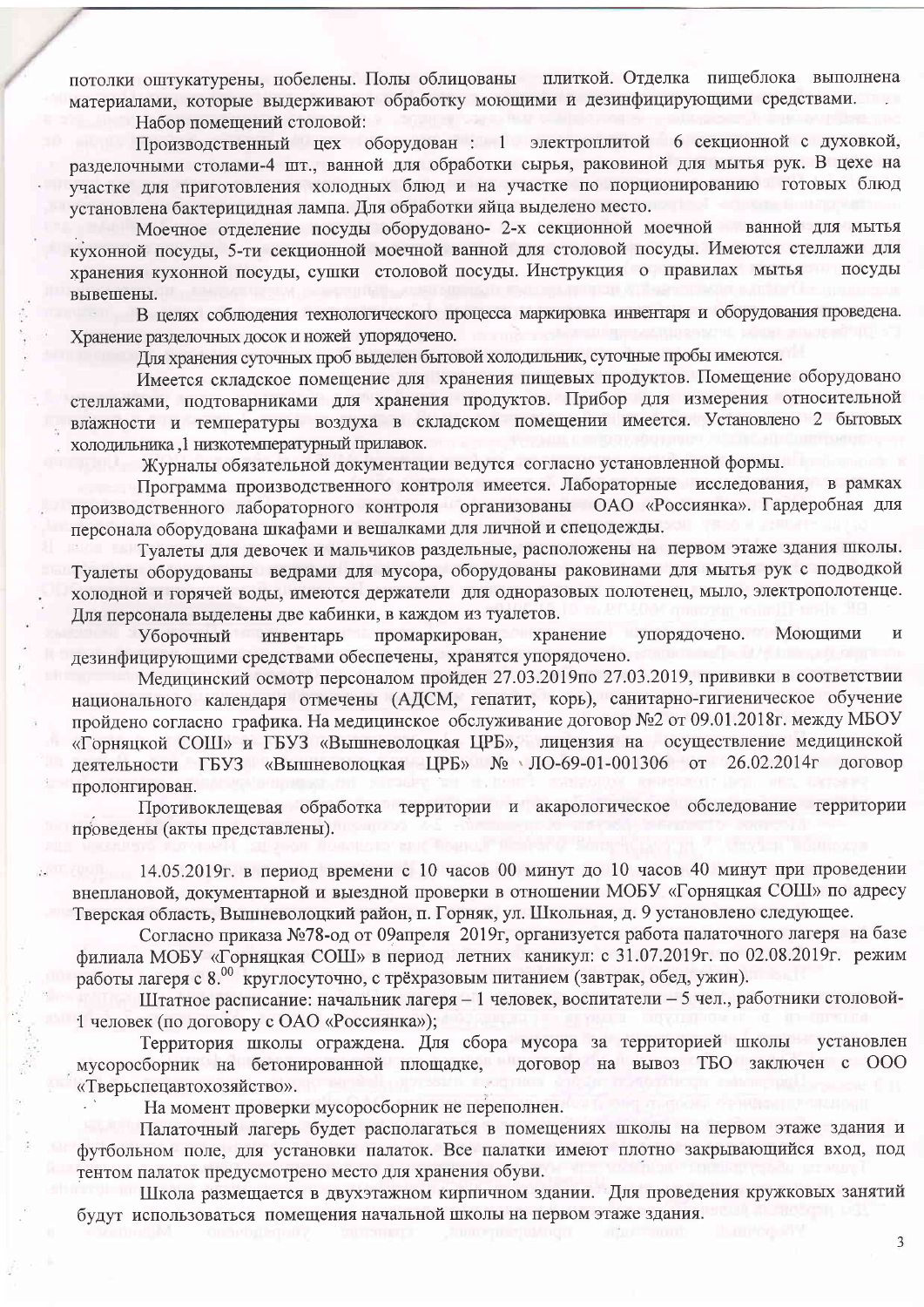потолки оштукатурены, побелены. Полы облицованы плиткой. Отделка пищеблока выполнена материалами, которые выдерживают обработку моющими и дезинфицирующими средствами. Набор помещений столовой:

оборудован : 1 электроплитой 6 секционной с духовкой, Производственный цех разделочными столами-4 шт., ванной для обработки сырья, раковиной для мытья рук. В цехе на участке для приготовления холодных блюд и на участке по порционированию готовых блюд установлена бактерицидная лампа. Для обработки яйца выделено место.

Моечное отделение посуды оборудовано- 2-х секционной моечной ванной для мытья кухонной посуды, 5-ти секционной моечной ванной для столовой посуды. Имеются стеллажи для хранения кухонной посуды, сушки столовой посуды. Инструкция о правилах мытья посуды вывешены.

В целях соблюдения технологического процесса маркировка инвентаря и оборудования проведена. Хранение разделочных досок и ножей упорядочено.

Для хранения суточных проб выделен бытовой холодильник, суточные пробы имеются.

Имеется складское помещение для хранения пищевых продуктов. Помещение оборудовано стеллажами, подтоварниками для хранения продуктов. Прибор для измерения относительной влажности и температуры воздуха в складском помещении имеется. Установлено 2 бытовых холодильника, 1 низкотемпературный прилавок.

Журналы обязательной документации ведутся согласно установленной формы.

Программа производственного контроля имеется. Лабораторные исследования, в рамках производственного лабораторного контроля организованы ОАО «Россиянка». Гардеробная для персонала оборудована шкафами и вешалками для личной и спецодежды.

Туалеты для девочек и мальчиков раздельные, расположены на первом этаже здания школы. Туалеты оборудованы ведрами для мусора, оборудованы раковинами для мытья рук с подводкой холодной и горячей воды, имеются держатели для одноразовых полотенец, мыло, электрополотенце. Для персонала выделены две кабинки, в каждом из туалетов.

Уборочный инвентарь промаркирован, хранение упорядочено. Моющими  $\overline{M}$ дезинфицирующими средствами обеспечены, хранятся упорядочено.

Медицинский осмотр персоналом пройден 27.03.2019по 27.03.2019, прививки в соответствии национального календаря отмечены (АДСМ, гепатит, корь), санитарно-гигиеническое обучение пройдено согласно графика. На медицинское обслуживание договор №2 от 09.01.2018 г. между МБОУ «Горняцкой СОШ» и ГБУЗ «Вышневолоцкая ЦРБ», лицензия на осуществление медицинской деятельности ГБУЗ «Вышневолоцкая ЦРБ» № ЛО-69-01-001306 от 26.02.2014г договор пролонгирован.

Противоклещевая обработка территории и акарологическое обследование территории проведены (акты представлены).

14.05.2019г. в период времени с 10 часов 00 минут до 10 часов 40 минут при проведении внеплановой, документарной и выездной проверки в отношении МОБУ «Горняцкая СОШ» по адресу Тверская область, Вышневолоцкий район, п. Горняк, ул. Школьная, д. 9 установлено следующее.

Согласно приказа №78-од от 09апреля 2019г, организуется работа палаточного лагеря на базе филиала МОБУ «Горняцкая СОШ» в период летних каникул: с 31.07.2019г. по 02.08.2019г. режим работы лагеря с 8.00 круглосуточно, с трёхразовым питанием (завтрак, обед, ужин).

Штатное расписание: начальник лагеря - 1 человек, воспитатели - 5 чел., работники столовой-1 человек (по договору с ОАО «Россиянка»);

Территория школы ограждена. Для сбора мусора за территорией школы установлен договор на вывоз ТБО заключен с ООО мусоросборник на бетонированной площадке, «Тверьспецавтохозяйство».

На момент проверки мусоросборник не переполнен.

Палаточный лагерь будет располагаться в помещениях школы на первом этаже здания и футбольном поле, для установки палаток. Все палатки имеют плотно закрывающийся вход, под тентом палаток предусмотрено место для хранения обуви.

Школа размещается в двухэтажном кирпичном здании. Для проведения кружковых занятий будут использоваться помещения начальной школы на первом этаже здания.

 $\mathfrak{Z}$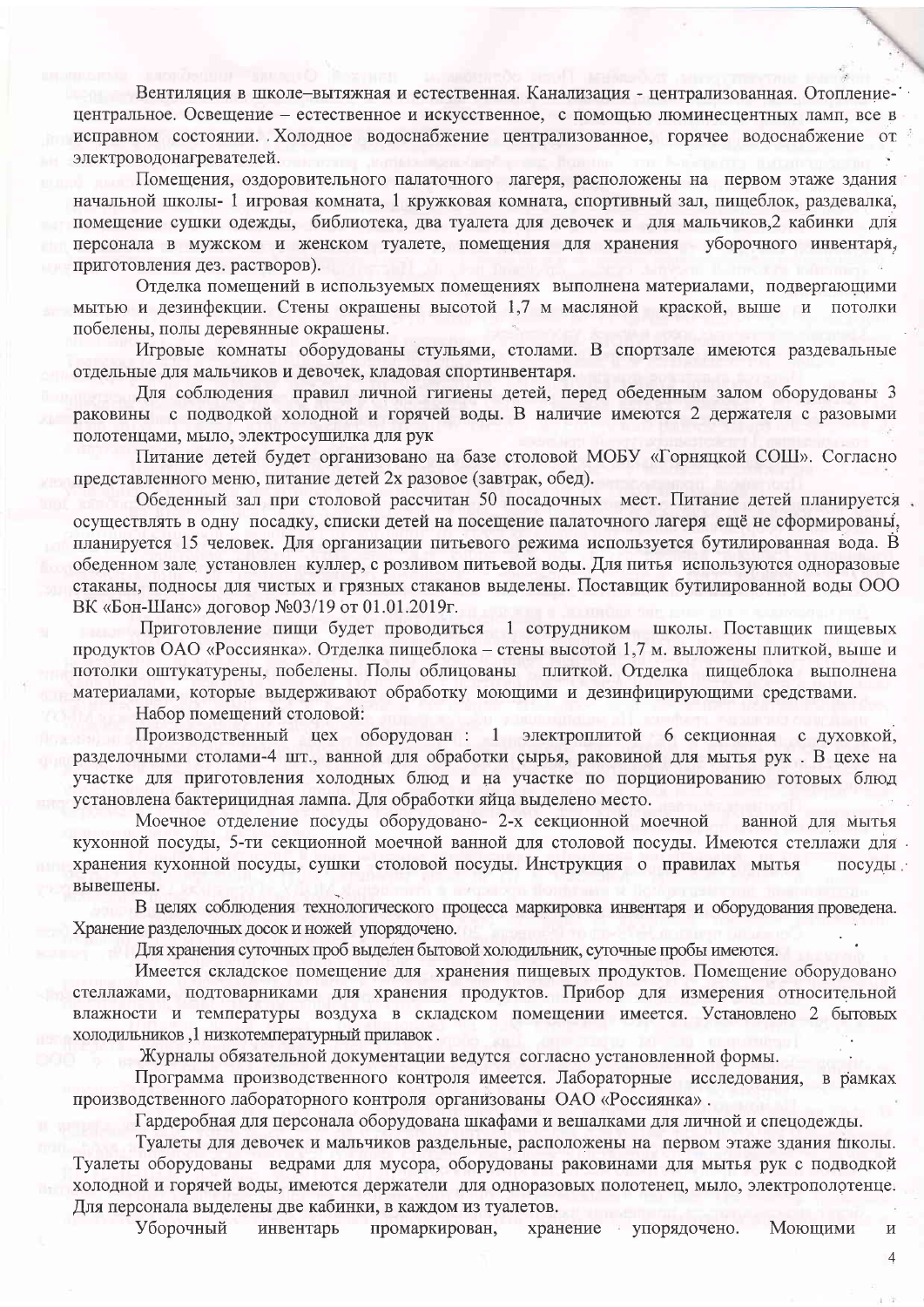Вентиляция в школе-вытяжная и естественная. Канализация - централизованная. Отоплениецентральное. Освещение - естественное и искусственное, с помощью люминесцентных ламп, все в исправном состоянии. Холодное водоснабжение централизованное, горячее водоснабжение от электроводонагревателей.

Помещения, оздоровительного палаточного лагеря, расположены на первом этаже здания начальной школы- 1 игровая комната, 1 кружковая комната, спортивный зал, пищеблок, раздевалка, помещение сушки одежды, библиотека, два туалета для девочек и для мальчиков,2 кабинки для персонала в мужском и женском туалете, помещения для хранения уборочного инвентаря, приготовления дез. растворов).

Отделка помещений в используемых помещениях выполнена материалами, подвергающими мытью и дезинфекции. Стены окрашены высотой 1,7 м масляной краской, выше и потолки побелены, полы деревянные окрашены.

Игровые комнаты оборудованы стульями, столами. В спортзале имеются раздевальные отдельные для мальчиков и девочек, кладовая спортинвентаря.

Для соблюдения правил личной гигиены детей, перед обеденным залом оборудованы 3 раковины с подводкой холодной и горячей воды. В наличие имеются 2 держателя с разовыми полотенцами, мыло, электросушилка для рук

Питание детей будет организовано на базе столовой МОБУ «Горняцкой СОШ». Согласно представленного меню, питание детей 2х разовое (завтрак, обед).

Обеденный зал при столовой рассчитан 50 посадочных мест. Питание детей планируется осуществлять в одну посадку, списки детей на посещение палаточного лагеря ещё не сформированы, планируется 15 человек. Для организации питьевого режима используется бутилированная вода. В обеденном зале установлен куллер, с розливом питьевой воды. Для питья используются одноразовые стаканы, подносы для чистых и грязных стаканов выделены. Поставщик бутилированной воды ООО ВК «Бон-Шанс» договор №03/19 от 01.01.2019г.

Приготовление пищи будет проводиться 1 сотрудником школы. Поставщик пищевых продуктов ОАО «Россиянка». Отделка пищеблока – стены высотой 1,7 м. выложены плиткой, выше и потолки оштукатурены, побелены. Полы облицованы плиткой. Отделка пищеблока выполнена материалами, которые выдерживают обработку моющими и дезинфицирующими средствами.

Набор помещений столовой:

Производственный цех оборудован : 1 электроплитой 6 секционная с духовкой, разделочными столами-4 шт., ванной для обработки сырья, раковиной для мытья рук. В цехе на участке для приготовления холодных блюд и на участке по порционированию готовых блюд установлена бактерицидная лампа. Для обработки яйца выделено место.

Моечное отделение посуды оборудовано- 2-х секционной моечной ванной для мытья кухонной посуды, 5-ти секционной моечной ванной для столовой посуды. Имеются стеллажи для хранения кухонной посуды, сушки столовой посуды. Инструкция о правилах мытья посуды. вывешены.

В целях соблюдения технологического процесса маркировка инвентаря и оборудования проведена. Хранение разделочных досок и ножей упорядочено.

Для хранения суточных проб выделен бытовой холодильник, суточные пробы имеются.

Имеется складское помещение для хранения пищевых продуктов. Помещение оборудовано стеллажами, подтоварниками для хранения продуктов. Прибор для измерения относительной влажности и температуры воздуха в складском помещении имеется. Установлено 2 бытовых холодильников, 1 низкотемпературный прилавок.

Журналы обязательной документации ведутся согласно установленной формы.

Программа производственного контроля имеется. Лабораторные исследования, в рамках производственного лабораторного контроля организованы ОАО «Россиянка».

Гардеробная для персонала оборудована шкафами и вешалками для личной и спецодежды.

Туалеты для девочек и мальчиков раздельные, расположены на первом этаже здания школы. Туалеты оборудованы ведрами для мусора, оборудованы раковинами для мытья рук с подводкой холодной и горячей воды, имеются держатели для одноразовых полотенец, мыло, электрополотенце. Для персонала выделены две кабинки, в каждом из туалетов.

Уборочный инвентарь промаркирован, хранение и упорядочено. Моющими  $\, {\bf M}$ 

 $\Delta$